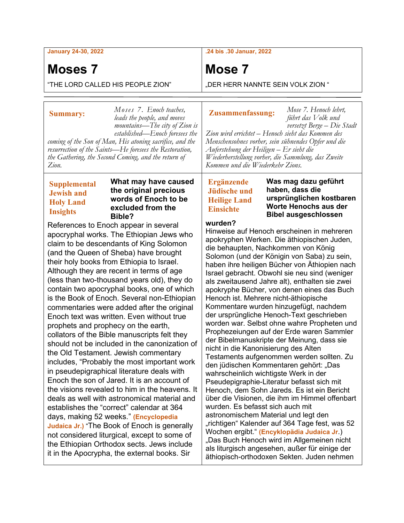#### **January 24-30, 2022**

# **Moses 7**

**Summary:**

"THE LORD CALLED HIS PEOPLE ZION"

**.24 bis .30 Januar, 2022**

# **Mose 7**

"DER HERR NANNTE SEIN VOLK ZION "

#### **Zusammenfassung:**

*leads the people, and moves mountains—The city of Zion is established—Enoch foresees the coming of the Son of Man, His atoning sacrifice, and the resurrection of the Saints—He foresees the Restoration, the Gathering, the Second Coming, and the return of führt das Volk und versetzt Berge – Die Stadt Zion wird errichtet – Henoch sieht das Kommen des Menschensohnes vorher, sein sühnendes Opfer und die Auferstehung der Heiligen – Er sieht die Wiederherstellung vorher, die Sammlung, das Zweite Kommen und die Wiederkehr Zions.*

### **Supplemental Jewish and Holy Land Insights**

*Zion.*

#### **What may have caused the original precious words of Enoch to be excluded from the Bible?**

*Moses 7. Enoch teaches,* 

References to Enoch appear in several apocryphal works. The Ethiopian Jews who claim to be descendants of King Solomon (and the Queen of Sheba) have brought their holy books from Ethiopia to Israel. Although they are recent in terms of age (less than two-thousand years old), they do contain two apocryphal books, one of which is the Book of Enoch. Several non-Ethiopian commentaries were added after the original Enoch text was written. Even without true prophets and prophecy on the earth, collators of the Bible manuscripts felt they should not be included in the canonization of the Old Testament. Jewish commentary includes, "Probably the most important work in pseudepigraphical literature deals with Enoch the son of Jared. It is an account of the visions revealed to him in the heavens. It deals as well with astronomical material and establishes the "correct" calendar at 364 days, making 52 weeks." **(Encyclopedia Judaica Jr.)** "The Book of Enoch is generally not considered liturgical, except to some of the Ethiopian Orthodox sects. Jews include it in the Apocrypha, the external books. Sir

## **Ergänzende Jüdische und Heilige Land Einsichte**

**Was mag dazu geführt haben, dass die ursprünglichen kostbaren Worte Henochs aus der Bibel ausgeschlossen** 

*Mose 7. Henoch lehrt,* 

### **wurden?**

Hinweise auf Henoch erscheinen in mehreren apokryphen Werken. Die äthiopischen Juden, die behaupten, Nachkommen von König Solomon (und der Königin von Saba) zu sein, haben ihre heiligen Bücher von Äthiopien nach Israel gebracht. Obwohl sie neu sind (weniger als zweitausend Jahre alt), enthalten sie zwei apokryphe Bücher, von denen eines das Buch Henoch ist. Mehrere nicht-äthiopische Kommentare wurden hinzugefügt, nachdem der ursprüngliche Henoch-Text geschrieben worden war. Selbst ohne wahre Propheten und Prophezeiungen auf der Erde waren Sammler der Bibelmanuskripte der Meinung, dass sie nicht in die Kanonisierung des Alten Testaments aufgenommen werden sollten. Zu den jüdischen Kommentaren gehört: "Das wahrscheinlich wichtigste Werk in der Pseudepigraphie-Literatur befasst sich mit Henoch, dem Sohn Jareds. Es ist ein Bericht über die Visionen, die ihm im Himmel offenbart wurden. Es befasst sich auch mit astronomischem Material und legt den "richtigen" Kalender auf 364 Tage fest, was 52 Wochen ergibt." **(Encyklopädia Judaica Jr**.) "Das Buch Henoch wird im Allgemeinen nicht als liturgisch angesehen, außer für einige der äthiopisch-orthodoxen Sekten. Juden nehmen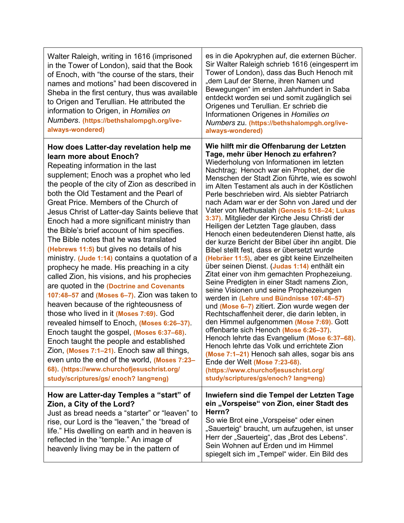| Walter Raleigh, writing in 1616 (imprisoned<br>in the Tower of London), said that the Book<br>of Enoch, with "the course of the stars, their<br>names and motions" had been discovered in<br>Sheba in the first century, thus was available<br>to Origen and Terullian. He attributed the<br>information to Origen, in Homilies on<br>Numbers. (https://bethshalompgh.org/ive-<br>always-wondered)                                                                                                                                                                                                                                                                                                                                                                                                                                                                                                                                                                                                                                                                                                                                                                                           | es in die Apokryphen auf, die externen Bücher.<br>Sir Walter Raleigh schrieb 1616 (eingesperrt im<br>Tower of London), dass das Buch Henoch mit<br>"dem Lauf der Sterne, ihren Namen und<br>Bewegungen" im ersten Jahrhundert in Saba<br>entdeckt worden sei und somit zugänglich sei<br>Origenes und Terullian. Er schrieb die<br>Informationen Origenes in Homilies on<br>Numbers zu. (https://bethshalompgh.org/ive-<br>always-wondered)                                                                                                                                                                                                                                                                                                                                                                                                                                                                                                                                                                                                                                                                                                                                                                                                                                                                                                                                                                                 |
|----------------------------------------------------------------------------------------------------------------------------------------------------------------------------------------------------------------------------------------------------------------------------------------------------------------------------------------------------------------------------------------------------------------------------------------------------------------------------------------------------------------------------------------------------------------------------------------------------------------------------------------------------------------------------------------------------------------------------------------------------------------------------------------------------------------------------------------------------------------------------------------------------------------------------------------------------------------------------------------------------------------------------------------------------------------------------------------------------------------------------------------------------------------------------------------------|-----------------------------------------------------------------------------------------------------------------------------------------------------------------------------------------------------------------------------------------------------------------------------------------------------------------------------------------------------------------------------------------------------------------------------------------------------------------------------------------------------------------------------------------------------------------------------------------------------------------------------------------------------------------------------------------------------------------------------------------------------------------------------------------------------------------------------------------------------------------------------------------------------------------------------------------------------------------------------------------------------------------------------------------------------------------------------------------------------------------------------------------------------------------------------------------------------------------------------------------------------------------------------------------------------------------------------------------------------------------------------------------------------------------------------|
| How does Latter-day revelation help me<br>learn more about Enoch?<br>Repeating information in the last<br>supplement; Enoch was a prophet who led<br>the people of the city of Zion as described in<br>both the Old Testament and the Pearl of<br>Great Price. Members of the Church of<br>Jesus Christ of Latter-day Saints believe that<br>Enoch had a more significant ministry than<br>the Bible's brief account of him specifies.<br>The Bible notes that he was translated<br>(Hebrews 11:5) but gives no details of his<br>ministry. (Jude 1:14) contains a quotation of a<br>prophecy he made. His preaching in a city<br>called Zion, his visions, and his prophecies<br>are quoted in the (Doctrine and Covenants<br>107:48-57 and (Moses 6-7). Zion was taken to<br>heaven because of the righteousness of<br>those who lived in it (Moses 7:69). God<br>revealed himself to Enoch, (Moses 6:26-37).<br>Enoch taught the gospel, (Moses 6:37-68).<br>Enoch taught the people and established<br>Zion, (Moses 7:1–21). Enoch saw all things,<br>even unto the end of the world, (Moses 7:23-<br>68) (https://www.churchofjesuschrist.org/<br>study/scriptures/gs/ enoch? lang=eng) | Wie hilft mir die Offenbarung der Letzten<br>Tage, mehr über Henoch zu erfahren?<br>Wiederholung von Informationen im letzten<br>Nachtrag; Henoch war ein Prophet, der die<br>Menschen der Stadt Zion führte, wie es sowohl<br>im Alten Testament als auch in der Köstlichen<br>Perle beschrieben wird. Als siebter Patriarch<br>nach Adam war er der Sohn von Jared und der<br>Vater von Methusalah (Genesis 5:18-24; Lukas<br>3:37). Mitglieder der Kirche Jesu Christi der<br>Heiligen der Letzten Tage glauben, dass<br>Henoch einen bedeutenderen Dienst hatte, als<br>der kurze Bericht der Bibel über ihn angibt. Die<br>Bibel stellt fest, dass er übersetzt wurde<br>(Hebräer 11:5), aber es gibt keine Einzelheiten<br>über seinen Dienst. (Judas 1:14) enthält ein<br>Zitat einer von ihm gemachten Prophezeiung.<br>Seine Predigten in einer Stadt namens Zion,<br>seine Visionen und seine Prophezeiungen<br>werden in (Lehre und Bündnisse 107:48-57)<br>und (Mose 6-7) zitiert. Zion wurde wegen der<br>Rechtschaffenheit derer, die darin lebten, in<br>den Himmel aufgenommen (Mose 7:69). Gott<br>offenbarte sich Henoch (Mose 6:26-37).<br>Henoch lehrte das Evangelium (Mose 6:37-68).<br>Henoch lehrte das Volk und errichtete Zion<br>(Mose 7:1-21) Henoch sah alles, sogar bis ans<br>Ende der Welt (Mose 7:23-68).<br>(https://www.churchofjesuschrist.org/<br>study/scriptures/gs/enoch? lang=eng) |
| How are Latter-day Temples a "start" of<br>Zion, a City of the Lord?<br>Just as bread needs a "starter" or "leaven" to<br>rise, our Lord is the "leaven," the "bread of<br>life." His dwelling on earth and in heaven is<br>reflected in the "temple." An image of<br>heavenly living may be in the pattern of                                                                                                                                                                                                                                                                                                                                                                                                                                                                                                                                                                                                                                                                                                                                                                                                                                                                               | Inwiefern sind die Tempel der Letzten Tage<br>ein "Vorspeise" von Zion, einer Stadt des<br>Herrn?<br>So wie Brot eine "Vorspeise" oder einen<br>"Sauerteig" braucht, um aufzugehen, ist unser<br>Herr der "Sauerteig", das "Brot des Lebens".<br>Sein Wohnen auf Erden und im Himmel<br>spiegelt sich im "Tempel" wider. Ein Bild des                                                                                                                                                                                                                                                                                                                                                                                                                                                                                                                                                                                                                                                                                                                                                                                                                                                                                                                                                                                                                                                                                       |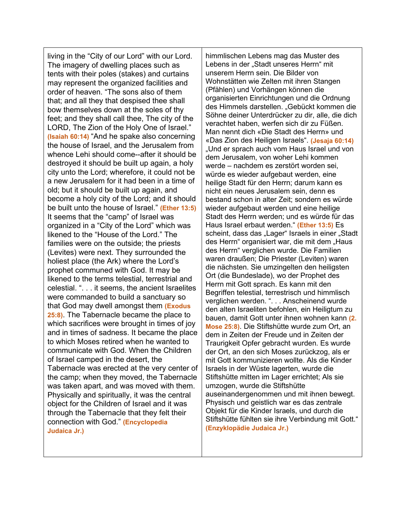living in the "City of our Lord" with our Lord. The imagery of dwelling places such as tents with their poles (stakes) and curtains may represent the organized facilities and order of heaven. "The sons also of them that; and all they that despised thee shall bow themselves down at the soles of thy feet; and they shall call thee, The city of the LORD, The Zion of the Holy One of Israel." **(Isaiah 60:14)** "And he spake also concerning the house of Israel, and the Jerusalem from whence Lehi should come--after it should be destroyed it should be built up again, a holy city unto the Lord; wherefore, it could not be a new Jerusalem for it had been in a time of old; but it should be built up again, and become a holy city of the Lord; and it should be built unto the house of Israel." **(Ether 13:5)** It seems that the "camp" of Israel was organized in a "City of the Lord" which was likened to the "House of the Lord." The families were on the outside; the priests (Levites) were next. They surrounded the holiest place (the Ark) where the Lord's prophet communed with God. It may be likened to the terms telestial, terrestrial and celestial. ". . . it seems, the ancient Israelites were commanded to build a sanctuary so that God may dwell amongst them **(Exodus 25:8)**. The Tabernacle became the place to which sacrifices were brought in times of joy and in times of sadness. It became the place to which Moses retired when he wanted to communicate with God. When the Children of Israel camped in the desert, the Tabernacle was erected at the very center of the camp; when they moved, the Tabernacle was taken apart, and was moved with them. Physically and spiritually, it was the central object for the Children of Israel and it was through the Tabernacle that they felt their connection with God." **(Encyclopedia Judaica Jr.)**

himmlischen Lebens mag das Muster des Lebens in der "Stadt unseres Herrn" mit unserem Herrn sein. Die Bilder von Wohnstätten wie Zelten mit ihren Stangen (Pfählen) und Vorhängen können die organisierten Einrichtungen und die Ordnung des Himmels darstellen. "Gebückt kommen die Söhne deiner Unterdrücker zu dir, alle, die dich verachtet haben, werfen sich dir zu Füßen. Man nennt dich «Die Stadt des Herrn» und «Das Zion des Heiligen Israels". **(Jesaja 60:14)** "Und er sprach auch vom Haus Israel und von dem Jerusalem, von woher Lehi kommen werde – nachdem es zerstört worden sei, würde es wieder aufgebaut werden, eine heilige Stadt für den Herrn; darum kann es nicht ein neues Jerusalem sein, denn es bestand schon in alter Zeit; sondern es würde wieder aufgebaut werden und eine heilige Stadt des Herrn werden; und es würde für das Haus Israel erbaut werden." **(Ether 13:5)** Es scheint, dass das "Lager" Israels in einer "Stadt des Herrn" organisiert war, die mit dem "Haus des Herrn" verglichen wurde. Die Familien waren draußen; Die Priester (Leviten) waren die nächsten. Sie umzingelten den heiligsten Ort (die Bundeslade), wo der Prophet des Herrn mit Gott sprach. Es kann mit den Begriffen telestial, terrestrisch und himmlisch verglichen werden. ". . . Anscheinend wurde den alten Israeliten befohlen, ein Heiligtum zu bauen, damit Gott unter ihnen wohnen kann **(2. Mose 25:8)**. Die Stiftshütte wurde zum Ort, an dem in Zeiten der Freude und in Zeiten der Traurigkeit Opfer gebracht wurden. Es wurde der Ort, an den sich Moses zurückzog, als er mit Gott kommunizieren wollte. Als die Kinder Israels in der Wüste lagerten, wurde die Stiftshütte mitten im Lager errichtet; Als sie umzogen, wurde die Stiftshütte auseinandergenommen und mit ihnen bewegt. Physisch und geistlich war es das zentrale Objekt für die Kinder Israels, und durch die Stiftshütte fühlten sie ihre Verbindung mit Gott." **(Enzyklopädie Judaica Jr.)**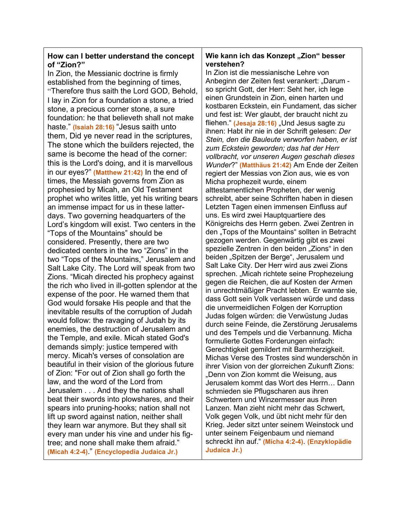### **How can I better understand the concept of "Zion?"**

In Zion, the Messianic doctrine is firmly established from the beginning of times, "Therefore thus saith the Lord GOD, Behold, I lay in Zion for a foundation a stone, a tried stone, a precious corner stone, a sure foundation: he that believeth shall not make haste." **(Isaiah 28:16)** "Jesus saith unto them, Did ye never read in the scriptures, The stone which the builders rejected, the same is become the head of the corner: this is the Lord's doing, and it is marvellous in our eyes?" **(Matthew 21:42)** In the end of times, the Messiah governs from Zion as prophesied by Micah, an Old Testament prophet who writes little, yet his writing bears an immense impact for us in these latterdays. Two governing headquarters of the Lord's kingdom will exist. Two centers in the "Tops of the Mountains" should be considered. Presently, there are two dedicated centers in the two "Zions" in the two "Tops of the Mountains," Jerusalem and Salt Lake City. The Lord will speak from two Zions. "Micah directed his prophecy against the rich who lived in ill-gotten splendor at the expense of the poor. He warned them that God would forsake His people and that the inevitable results of the corruption of Judah would follow: the ravaging of Judah by its enemies, the destruction of Jerusalem and the Temple, and exile. Micah stated God's demands simply: justice tempered with mercy. Micah's verses of consolation are beautiful in their vision of the glorious future of Zion: "For out of Zion shall go forth the law, and the word of the Lord from Jerusalem . . . And they the nations shall beat their swords into plowshares, and their spears into pruning-hooks; nation shall not lift up sword against nation, neither shall they learn war anymore. But they shall sit every man under his vine and under his figtree; and none shall make them afraid." **(Micah 4:2-4)**." **(Encyclopedia Judaica Jr.)**

### **Wie kann ich das Konzept "Zion" besser verstehen?**

In Zion ist die messianische Lehre von Anbeginn der Zeiten fest verankert: "Darum so spricht Gott, der Herr: Seht her, ich lege einen Grundstein in Zion, einen harten und kostbaren Eckstein, ein Fundament, das sicher und fest ist: Wer glaubt, der braucht nicht zu fliehen." (Jesaja 28:16) "Und Jesus sagte zu ihnen: Habt ihr nie in der Schrift gelesen: *Der Stein, den die Bauleute verworfen haben, er ist zum Eckstein geworden; das hat der Herr vollbracht, vor unseren Augen geschah dieses Wunder*?" **(Matthäus 21:42)** Am Ende der Zeiten regiert der Messias von Zion aus, wie es von Micha prophezeit wurde, einem alttestamentlichen Propheten, der wenig schreibt, aber seine Schriften haben in diesen Letzten Tagen einen immensen Einfluss auf uns. Es wird zwei Hauptquartiere des Königreichs des Herrn geben. Zwei Zentren in den "Tops of the Mountains" sollten in Betracht gezogen werden. Gegenwärtig gibt es zwei spezielle Zentren in den beiden "Zions" in den beiden "Spitzen der Berge", Jerusalem und Salt Lake City. Der Herr wird aus zwei Zions sprechen. "Micah richtete seine Prophezeiung gegen die Reichen, die auf Kosten der Armen in unrechtmäßiger Pracht lebten. Er warnte sie, dass Gott sein Volk verlassen würde und dass die unvermeidlichen Folgen der Korruption Judas folgen würden: die Verwüstung Judas durch seine Feinde, die Zerstörung Jerusalems und des Tempels und die Verbannung. Micha formulierte Gottes Forderungen einfach: Gerechtigkeit gemildert mit Barmherzigkeit. Michas Verse des Trostes sind wunderschön in ihrer Vision von der glorreichen Zukunft Zions: "Denn von Zion kommt die Weisung, aus Jerusalem kommt das Wort des Herrn… Dann schmieden sie Pflugscharen aus ihren Schwertern und Winzermesser aus ihren Lanzen. Man zieht nicht mehr das Schwert, Volk gegen Volk, und übt nicht mehr für den Krieg. Jeder sitzt unter seinem Weinstock und unter seinem Feigenbaum und niemand schreckt ihn auf." **(Micha 4:2-4)**. **(Enzyklopädie Judaica Jr.)**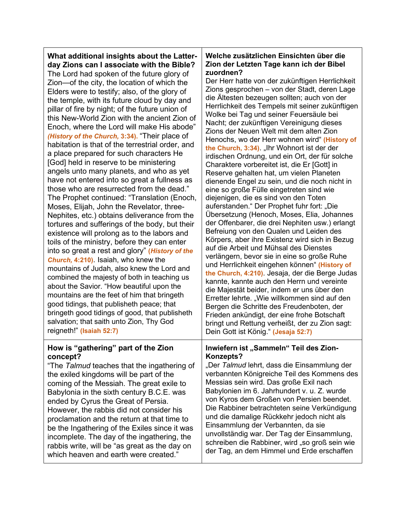## **What additional insights about the Latterday Zions can I associate with the Bible?**

The Lord had spoken of the future glory of Zion—of the city, the location of which the Elders were to testify; also, of the glory of the temple, with its future cloud by day and pillar of fire by night; of the future union of this New-World Zion with the ancient Zion of Enoch, where the Lord will make His abode" *(History of the Church,* **3:34).** "Their place of habitation is that of the terrestrial order, and a place prepared for such characters He [God] held in reserve to be ministering angels unto many planets, and who as yet have not entered into so great a fullness as those who are resurrected from the dead." The Prophet continued: "Translation (Enoch, Moses, Elijah, John the Revelator, three-Nephites, etc.) obtains deliverance from the tortures and sufferings of the body, but their existence will prolong as to the labors and toils of the ministry, before they can enter into so great a rest and glory" **(***History of the Church,* **4:210)**. Isaiah, who knew the mountains of Judah, also knew the Lord and combined the majesty of both in teaching us about the Savior. "How beautiful upon the mountains are the feet of him that bringeth good tidings, that publisheth peace; that bringeth good tidings of good, that publisheth salvation; that saith unto Zion, Thy God reigneth!" **(Isaiah 52:7)**

### **How is "gathering" part of the Zion concept?**

"The *Talmud* teaches that the ingathering of the exiled kingdoms will be part of the coming of the Messiah. The great exile to Babylonia in the sixth century B.C.E. was ended by Cyrus the Great of Persia. However, the rabbis did not consider his proclamation and the return at that time to be the Ingathering of the Exiles since it was incomplete. The day of the ingathering, the rabbis write, will be "as great as the day on which heaven and earth were created."

## **Welche zusätzlichen Einsichten über die Zion der Letzten Tage kann ich der Bibel zuordnen?**

Der Herr hatte von der zukünftigen Herrlichkeit Zions gesprochen – von der Stadt, deren Lage die Ältesten bezeugen sollten; auch von der Herrlichkeit des Tempels mit seiner zukünftigen Wolke bei Tag und seiner Feuersäule bei Nacht; der zukünftigen Vereinigung dieses Zions der Neuen Welt mit dem alten Zion Henochs, wo der Herr wohnen wird" **(History of**  the Church, 3:34). "Ihr Wohnort ist der der irdischen Ordnung, und ein Ort, der für solche Charaktere vorbereitet ist, die Er [Gott] in Reserve gehalten hat, um vielen Planeten dienende Engel zu sein, und die noch nicht in eine so große Fülle eingetreten sind wie diejenigen, die es sind von den Toten auferstanden." Der Prophet fuhr fort: "Die Übersetzung (Henoch, Moses, Elia, Johannes der Offenbarer, die drei Nephiten usw.) erlangt Befreiung von den Qualen und Leiden des Körpers, aber ihre Existenz wird sich in Bezug auf die Arbeit und Mühsal des Dienstes verlängern, bevor sie in eine so große Ruhe und Herrlichkeit eingehen können" **(History of the Church, 4:210)**. Jesaja, der die Berge Judas kannte, kannte auch den Herrn und vereinte die Majestät beider, indem er uns über den Erretter lehrte. "Wie willkommen sind auf den Bergen die Schritte des Freudenboten, der Frieden ankündigt, der eine frohe Botschaft bringt und Rettung verheißt, der zu Zion sagt: Dein Gott ist König." **(Jesaja 52:7)**

### Inwiefern ist "Sammeln" Teil des Zion-**Konzepts?**

"Der *Talmud* lehrt, dass die Einsammlung der verbannten Königreiche Teil des Kommens des Messias sein wird. Das große Exil nach Babylonien im 6. Jahrhundert v. u. Z. wurde von Kyros dem Großen von Persien beendet. Die Rabbiner betrachteten seine Verkündigung und die damalige Rückkehr jedoch nicht als Einsammlung der Verbannten, da sie unvollständig war. Der Tag der Einsammlung, schreiben die Rabbiner, wird "so groß sein wie der Tag, an dem Himmel und Erde erschaffen